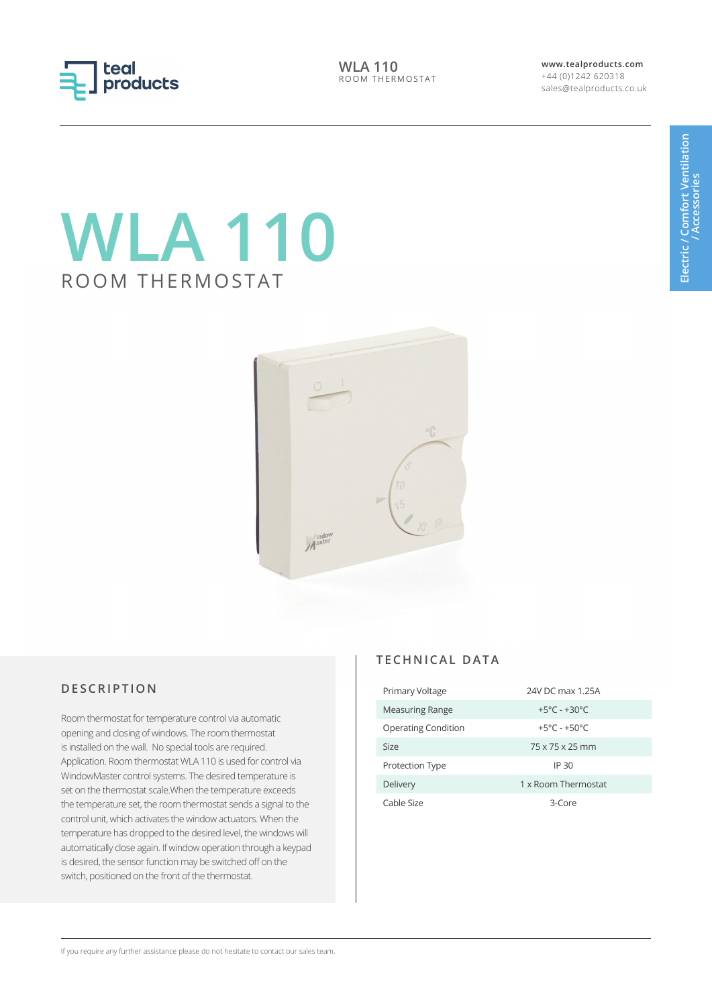

**WLA 110** ROOM THERMOSTAT **www.tealproducts.com** +44 (0)1242 620318 sales@tealproducts.co.uk

# **WLA 110** ROOM THERMOSTAT



## **DESCRIPTION**

Room thermostat for temperature control via automatic opening and closing of windows. The room thermostat is installed on the wall. No special tools are required. Application. Room thermostat WLA 110 is used for control via WindowMaster control systems. The desired temperature is set on the thermostat scale.When the temperature exceeds the temperature set, the room thermostat sends a signal to the control unit, which activates the window actuators. When the temperature has dropped to the desired level, the windows will automatically close again. If window operation through a keypad is desired, the sensor function may be switched off on the switch, positioned on the front of the thermostat.

## **TECHNICAL DATA**

| Primary Voltage            | 24V DC max 1.25A                 |
|----------------------------|----------------------------------|
| Measuring Range            | $+5^{\circ}$ C - $+30^{\circ}$ C |
| <b>Operating Condition</b> | $+5^{\circ}$ C - $+50^{\circ}$ C |
| Size                       | 75 x 75 x 25 mm                  |
| Protection Type            | IP 30                            |
| Delivery                   | 1 x Room Thermostat              |
| Cable Size                 | 3-Core                           |